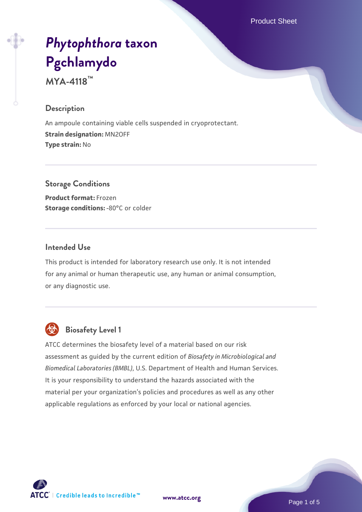Product Sheet

# *[Phytophthora](https://www.atcc.org/products/mya-4118)* **[taxon](https://www.atcc.org/products/mya-4118) [Pgchlamydo](https://www.atcc.org/products/mya-4118)**

**MYA-4118™**

#### **Description**

An ampoule containing viable cells suspended in cryoprotectant. **Strain designation:** MN2OFF **Type strain:** No

**Storage Conditions Product format:** Frozen **Storage conditions: -80°C or colder** 

#### **Intended Use**

This product is intended for laboratory research use only. It is not intended for any animal or human therapeutic use, any human or animal consumption, or any diagnostic use.



# **Biosafety Level 1**

ATCC determines the biosafety level of a material based on our risk assessment as guided by the current edition of *Biosafety in Microbiological and Biomedical Laboratories (BMBL)*, U.S. Department of Health and Human Services. It is your responsibility to understand the hazards associated with the material per your organization's policies and procedures as well as any other applicable regulations as enforced by your local or national agencies.



**[www.atcc.org](http://www.atcc.org)**

Page 1 of 5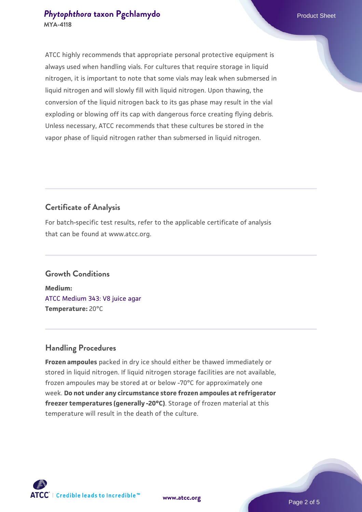# **[Phytophthora](https://www.atcc.org/products/mya-4118) [taxon Pgchlamydo](https://www.atcc.org/products/mya-4118) Product Sheet MYA-4118**

ATCC highly recommends that appropriate personal protective equipment is always used when handling vials. For cultures that require storage in liquid nitrogen, it is important to note that some vials may leak when submersed in liquid nitrogen and will slowly fill with liquid nitrogen. Upon thawing, the conversion of the liquid nitrogen back to its gas phase may result in the vial exploding or blowing off its cap with dangerous force creating flying debris. Unless necessary, ATCC recommends that these cultures be stored in the vapor phase of liquid nitrogen rather than submersed in liquid nitrogen.

# **Certificate of Analysis**

For batch-specific test results, refer to the applicable certificate of analysis that can be found at www.atcc.org.

# **Growth Conditions**

**Medium:**  [ATCC Medium 343: V8 juice agar](https://www.atcc.org/-/media/product-assets/documents/microbial-media-formulations/3/4/3/atcc-medium-0343.pdf?rev=fbf48fa24e664932828269db1822ab12) **Temperature:** 20°C

# **Handling Procedures**

**Frozen ampoules** packed in dry ice should either be thawed immediately or stored in liquid nitrogen. If liquid nitrogen storage facilities are not available, frozen ampoules may be stored at or below -70°C for approximately one week. **Do not under any circumstance store frozen ampoules at refrigerator freezer temperatures (generally -20°C)**. Storage of frozen material at this temperature will result in the death of the culture.



**[www.atcc.org](http://www.atcc.org)**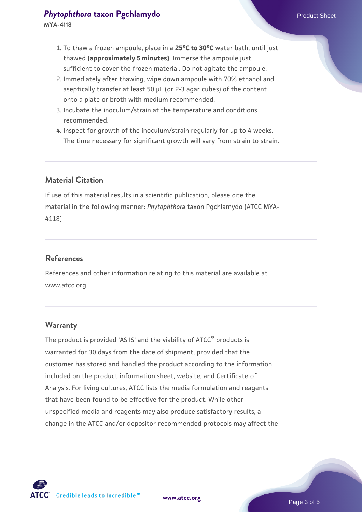# **[Phytophthora](https://www.atcc.org/products/mya-4118) [taxon Pgchlamydo](https://www.atcc.org/products/mya-4118)** Product Sheet

- 1. To thaw a frozen ampoule, place in a **25°C to 30°C** water bath, until just thawed **(approximately 5 minutes)**. Immerse the ampoule just sufficient to cover the frozen material. Do not agitate the ampoule.
- 2. Immediately after thawing, wipe down ampoule with 70% ethanol and aseptically transfer at least 50 µL (or 2-3 agar cubes) of the content onto a plate or broth with medium recommended.
- 3. Incubate the inoculum/strain at the temperature and conditions recommended.
- 4. Inspect for growth of the inoculum/strain regularly for up to 4 weeks. The time necessary for significant growth will vary from strain to strain.

# **Material Citation**

If use of this material results in a scientific publication, please cite the material in the following manner: *Phytophthora* taxon Pgchlamydo (ATCC MYA-4118)

# **References**

References and other information relating to this material are available at www.atcc.org.

#### **Warranty**

The product is provided 'AS IS' and the viability of ATCC® products is warranted for 30 days from the date of shipment, provided that the customer has stored and handled the product according to the information included on the product information sheet, website, and Certificate of Analysis. For living cultures, ATCC lists the media formulation and reagents that have been found to be effective for the product. While other unspecified media and reagents may also produce satisfactory results, a change in the ATCC and/or depositor-recommended protocols may affect the



**[www.atcc.org](http://www.atcc.org)**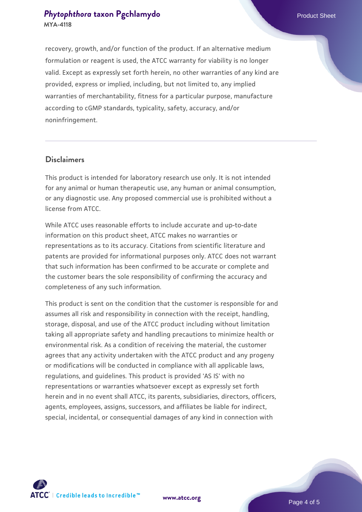# **[Phytophthora](https://www.atcc.org/products/mya-4118) [taxon Pgchlamydo](https://www.atcc.org/products/mya-4118)** Product Sheet **MYA-4118**

recovery, growth, and/or function of the product. If an alternative medium formulation or reagent is used, the ATCC warranty for viability is no longer valid. Except as expressly set forth herein, no other warranties of any kind are provided, express or implied, including, but not limited to, any implied warranties of merchantability, fitness for a particular purpose, manufacture according to cGMP standards, typicality, safety, accuracy, and/or noninfringement.

#### **Disclaimers**

This product is intended for laboratory research use only. It is not intended for any animal or human therapeutic use, any human or animal consumption, or any diagnostic use. Any proposed commercial use is prohibited without a license from ATCC.

While ATCC uses reasonable efforts to include accurate and up-to-date information on this product sheet, ATCC makes no warranties or representations as to its accuracy. Citations from scientific literature and patents are provided for informational purposes only. ATCC does not warrant that such information has been confirmed to be accurate or complete and the customer bears the sole responsibility of confirming the accuracy and completeness of any such information.

This product is sent on the condition that the customer is responsible for and assumes all risk and responsibility in connection with the receipt, handling, storage, disposal, and use of the ATCC product including without limitation taking all appropriate safety and handling precautions to minimize health or environmental risk. As a condition of receiving the material, the customer agrees that any activity undertaken with the ATCC product and any progeny or modifications will be conducted in compliance with all applicable laws, regulations, and guidelines. This product is provided 'AS IS' with no representations or warranties whatsoever except as expressly set forth herein and in no event shall ATCC, its parents, subsidiaries, directors, officers, agents, employees, assigns, successors, and affiliates be liable for indirect, special, incidental, or consequential damages of any kind in connection with



**[www.atcc.org](http://www.atcc.org)**

Page 4 of 5